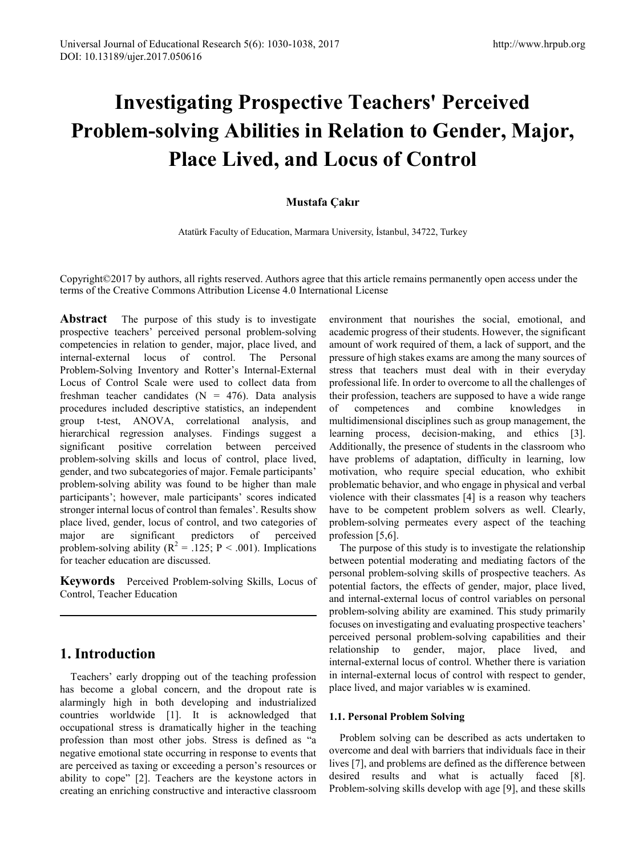# **Investigating Prospective Teachers' Perceived Problem-solving Abilities in Relation to Gender, Major, Place Lived, and Locus of Control**

## **Mustafa Çakır**

Atatürk Faculty of Education, Mar[mara University, İstanbul, 34722](mailto:mustafacakir@marmara.edu.tr), Turkey

Copyright©2017 by authors, all rights reserved. Authors agree that this article remains permanently open access under the terms of the Creative Commons Attribution License 4.0 International License

**Abstract** The purpose of this study is to investigate prospective teachers' perceived personal problem-solving competencies in relation to gender, major, place lived, and internal-external locus of control. The Personal Problem-Solving Inventory and Rotter's Internal-External Locus of Control Scale were used to collect data from freshman teacher candidates  $(N = 476)$ . Data analysis procedures included descriptive statistics, an independent group t-test, ANOVA, correlational analysis, and hierarchical regression analyses. Findings suggest a significant positive correlation between perceived problem-solving skills and locus of control, place lived, gender, and two subcategories of major. Female participants' problem-solving ability was found to be higher than male participants'; however, male participants' scores indicated stronger internal locus of control than females'. Results show place lived, gender, locus of control, and two categories of major are significant predictors of perceived problem-solving ability ( $R^2 = .125$ ;  $P < .001$ ). Implications for teacher education are discussed.

**Keywords** Perceived Problem-solving Skills, Locus of Control, Teacher Education

# **1. Introduction**

Teachers' early dropping out of the teaching profession has become a global concern, and the dropout rate is alarmingly high in both developing and industrialized countries worldwide [1]. It is acknowledged that occupational stress is dramatically higher in the teaching profession than most other jobs. Stress is defined as "a negative emotional state occurring in response to events that are perceived as taxing or exceeding a person's resources or ability to cope" [2]. Teachers are the keystone actors in creating an enriching constructive and interactive classroom

environment that nourishes the social, emotional, and academic progress of their students. However, the significant amount of work required of them, a lack of support, and the pressure of high stakes exams are among the many sources of stress that teachers must deal with in their everyday professional life. In order to overcome to all the challenges of their profession, teachers are supposed to have a wide range of competences and combine knowledges in multidimensional disciplines such as group management, the learning process, decision-making, and ethics [3]. Additionally, the presence of students in the classroom who have problems of adaptation, difficulty in learning, low motivation, who require special education, who exhibit problematic behavior, and who engage in physical and verbal violence with their classmates [4] is a reason why teachers have to be competent problem solvers as well. Clearly, problem-solving permeates every aspect of the teaching profession [5,6].

The purpose of this study is to investigate the relationship between potential moderating and mediating factors of the personal problem-solving skills of prospective teachers. As potential factors, the effects of gender, major, place lived, and internal-external locus of control variables on personal problem-solving ability are examined. This study primarily focuses on investigating and evaluating prospective teachers' perceived personal problem-solving capabilities and their relationship to gender, major, place lived, and internal-external locus of control. Whether there is variation in internal-external locus of control with respect to gender, place lived, and major variables w is examined.

### **1.1. Personal Problem Solving**

Problem solving can be described as acts undertaken to overcome and deal with barriers that individuals face in their lives [7], and problems are defined as the difference between desired results and what is actually faced [8]. Problem-solving skills develop with age [9], and these skills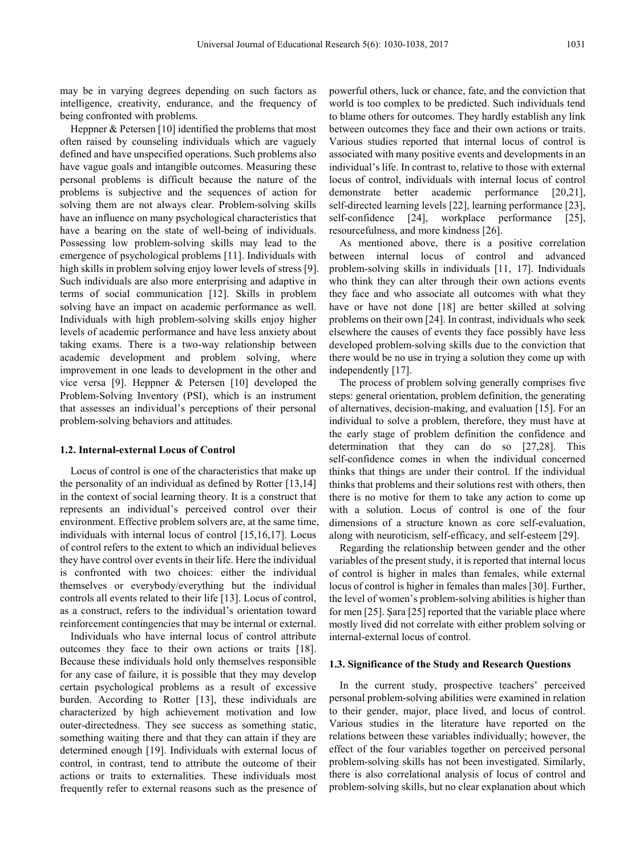may be in varying degrees depending on such factors as intelligence, creativity, endurance, and the frequency of being confronted with problems.

Heppner & Petersen [10] identified the problems that most often raised by counseling individuals which are vaguely defined and have unspecified operations. Such problems also have vague goals and intangible outcomes. Measuring these personal problems is difficult because the nature of the problems is subjective and the sequences of action for solving them are not always clear. Problem-solving skills have an influence on many psychological characteristics that have a bearing on the state of well-being of individuals. Possessing low problem-solving skills may lead to the emergence of psychological problems [11]. Individuals with high skills in problem solving enjoy lower levels of stress [9]. Such individuals are also more enterprising and adaptive in terms of social communication [12]. Skills in problem solving have an impact on academic performance as well. Individuals with high problem-solving skills enjoy higher levels of academic performance and have less anxiety about taking exams. There is a two-way relationship between academic development and problem solving, where improvement in one leads to development in the other and vice versa [9]. Heppner & Petersen [10] developed the Problem-Solving Inventory (PSI), which is an instrument that assesses an individual's perceptions of their personal problem-solving behaviors and attitudes.

#### **1.2. Internal-external Locus of Control**

Locus of control is one of the characteristics that make up the personality of an individual as defined by Rotter [13,14] in the context of social learning theory. It is a construct that represents an individual's perceived control over their environment. Effective problem solvers are, at the same time, individuals with internal locus of control [15,16,17]. Locus of control refers to the extent to which an individual believes they have control over events in their life. Here the individual is confronted with two choices: either the individual themselves or everybody/everything but the individual controls all events related to their life [13]. Locus of control, as a construct, refers to the individual's orientation toward reinforcement contingencies that may be internal or external.

Individuals who have internal locus of control attribute outcomes they face to their own actions or traits [18]. Because these individuals hold only themselves responsible for any case of failure, it is possible that they may develop certain psychological problems as a result of excessive burden. According to Rotter [13], these individuals are characterized by high achievement motivation and low outer-directedness. They see success as something static, something waiting there and that they can attain if they are determined enough [19]. Individuals with external locus of control, in contrast, tend to attribute the outcome of their actions or traits to externalities. These individuals most frequently refer to external reasons such as the presence of powerful others, luck or chance, fate, and the conviction that world is too complex to be predicted. Such individuals tend to blame others for outcomes. They hardly establish any link between outcomes they face and their own actions or traits. Various studies reported that internal locus of control is associated with many positive events and developments in an individual's life. In contrast to, relative to those with external locus of control, individuals with internal locus of control demonstrate better academic performance [20,21], self-directed learning levels [22], learning performance [23], self-confidence [24], workplace performance [25], resourcefulness, and more kindness [26].

As mentioned above, there is a positive correlation between internal locus of control and advanced problem-solving skills in individuals [11, 17]. Individuals who think they can alter through their own actions events they face and who associate all outcomes with what they have or have not done [18] are better skilled at solving problems on their own [24]. In contrast, individuals who seek elsewhere the causes of events they face possibly have less developed problem-solving skills due to the conviction that there would be no use in trying a solution they come up with independently [17].

The process of problem solving generally comprises five steps: general orientation, problem definition, the generating of alternatives, decision-making, and evaluation [15]. For an individual to solve a problem, therefore, they must have at the early stage of problem definition the confidence and determination that they can do so [27,28]. This self-confidence comes in when the individual concerned thinks that things are under their control. If the individual thinks that problems and their solutions rest with others, then there is no motive for them to take any action to come up with a solution. Locus of control is one of the four dimensions of a structure known as core self-evaluation, along with neuroticism, self-efficacy, and self-esteem [29].

Regarding the relationship between gender and the other variables of the present study, it is reported that internal locus of control is higher in males than females, while external locus of control is higher in females than males [30]. Further, the level of women's problem-solving abilities is higher than for men [25]. Şara [25] reported that the variable place where mostly lived did not correlate with either problem solving or internal-external locus of control.

#### **1.3. Significance of the Study and Research Questions**

In the current study, prospective teachers' perceived personal problem-solving abilities were examined in relation to their gender, major, place lived, and locus of control. Various studies in the literature have reported on the relations between these variables individually; however, the effect of the four variables together on perceived personal problem-solving skills has not been investigated. Similarly, there is also correlational analysis of locus of control and problem-solving skills, but no clear explanation about which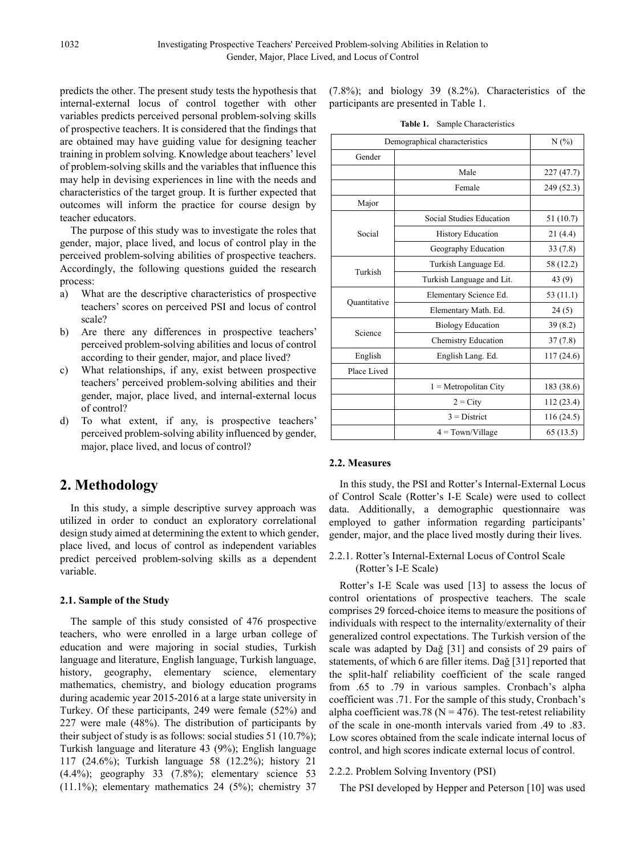predicts the other. The present study tests the hypothesis that internal-external locus of control together with other variables predicts perceived personal problem-solving skills of prospective teachers. It is considered that the findings that are obtained may have guiding value for designing teacher training in problem solving. Knowledge about teachers' level of problem-solving skills and the variables that influence this may help in devising experiences in line with the needs and characteristics of the target group. It is further expected that outcomes will inform the practice for course design by teacher educators.

The purpose of this study was to investigate the roles that gender, major, place lived, and locus of control play in the perceived problem-solving abilities of prospective teachers. Accordingly, the following questions guided the research process:

- a) What are the descriptive characteristics of prospective teachers' scores on perceived PSI and locus of control scale?
- b) Are there any differences in prospective teachers' perceived problem-solving abilities and locus of control according to their gender, major, and place lived?
- c) What relationships, if any, exist between prospective teachers' perceived problem-solving abilities and their gender, major, place lived, and internal-external locus of control?
- d) To what extent, if any, is prospective teachers' perceived problem-solving ability influenced by gender, major, place lived, and locus of control?

# **2. Methodology**

In this study, a simple descriptive survey approach was utilized in order to conduct an exploratory correlational design study aimed at determining the extent to which gender, place lived, and locus of control as independent variables predict perceived problem-solving skills as a dependent variable.

## **2.1. Sample of the Study**

The sample of this study consisted of 476 prospective teachers, who were enrolled in a large urban college of education and were majoring in social studies, Turkish language and literature, English language, Turkish language, history, geography, elementary science, elementary mathematics, chemistry, and biology education programs during academic year 2015-2016 at a large state university in Turkey. Of these participants, 249 were female (52%) and 227 were male (48%). The distribution of participants by their subject of study is as follows: social studies 51 (10.7%); Turkish language and literature 43 (9%); English language 117 (24.6%); Turkish language 58 (12.2%); history 21 (4.4%); geography 33 (7.8%); elementary science 53  $(11.1\%)$ ; elementary mathematics 24 (5%); chemistry 37

(7.8%); and biology 39 (8.2%). Characteristics of the participants are presented in Table 1.

**Table 1.** Sample Characteristics

| Demographical characteristics | N(%                        |            |  |  |
|-------------------------------|----------------------------|------------|--|--|
| Gender                        |                            |            |  |  |
|                               | Male                       | 227(47.7)  |  |  |
|                               | Female                     | 249 (52.3) |  |  |
| Major                         |                            |            |  |  |
|                               | Social Studies Education   | 51(10.7)   |  |  |
| Social                        | <b>History Education</b>   | 21(4.4)    |  |  |
|                               | Geography Education        | 33(7.8)    |  |  |
| Turkish                       | Turkish Language Ed.       | 58 (12.2)  |  |  |
|                               | Turkish Language and Lit.  | 43 (9)     |  |  |
|                               | Elementary Science Ed.     | 53 (11.1)  |  |  |
| Ouantitative                  | Elementary Math. Ed.       | 24(5)      |  |  |
|                               | <b>Biology Education</b>   | 39(8.2)    |  |  |
| Science                       | <b>Chemistry Education</b> | 37(7.8)    |  |  |
| English                       | English Lang. Ed.          | 117(24.6)  |  |  |
| Place Lived                   |                            |            |  |  |
|                               | $1 = Metropolitan City$    | 183 (38.6) |  |  |
|                               | $2 = \text{City}$          | 112 (23.4) |  |  |
|                               | $3$ = District             |            |  |  |
|                               | $4 = Town/Village$         |            |  |  |

### **2.2. Measures**

In this study, the PSI and Rotter's Internal-External Locus of Control Scale (Rotter's I-E Scale) were used to collect data. Additionally, a demographic questionnaire was employed to gather information regarding participants' gender, major, and the place lived mostly during their lives.

## 2.2.1. Rotter's Internal-External Locus of Control Scale (Rotter's I-E Scale)

Rotter's I-E Scale was used [13] to assess the locus of control orientations of prospective teachers. The scale comprises 29 forced-choice items to measure the positions of individuals with respect to the internality/externality of their generalized control expectations. The Turkish version of the scale was adapted by Dağ [31] and consists of 29 pairs of statements, of which 6 are filler items. Dağ [31] reported that the split-half reliability coefficient of the scale ranged from .65 to .79 in various samples. Cronbach's alpha coefficient was .71. For the sample of this study, Cronbach's alpha coefficient was.78 ( $N = 476$ ). The test-retest reliability of the scale in one-month intervals varied from .49 to .83. Low scores obtained from the scale indicate internal locus of control, and high scores indicate external locus of control.

### 2.2.2. Problem Solving Inventory (PSI)

The PSI developed by Hepper and Peterson [10] was used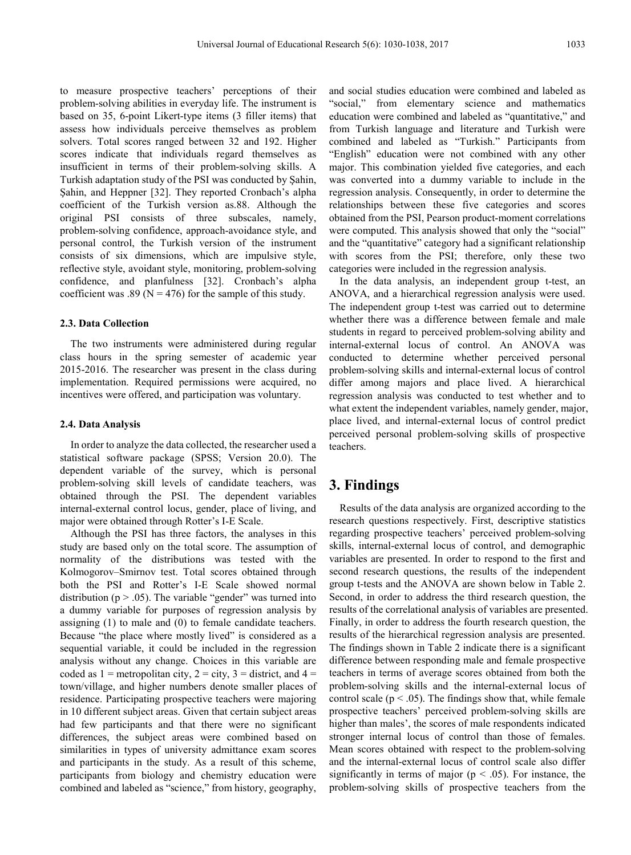to measure prospective teachers' perceptions of their problem-solving abilities in everyday life. The instrument is based on 35, 6-point Likert-type items (3 filler items) that assess how individuals perceive themselves as problem solvers. Total scores ranged between 32 and 192. Higher scores indicate that individuals regard themselves as insufficient in terms of their problem-solving skills. A Turkish adaptation study of the PSI was conducted by Şahin, Şahin, and Heppner [32]. They reported Cronbach's alpha coefficient of the Turkish version as.88. Although the original PSI consists of three subscales, namely, problem-solving confidence, approach-avoidance style, and personal control, the Turkish version of the instrument consists of six dimensions, which are impulsive style, reflective style, avoidant style, monitoring, problem-solving confidence, and planfulness [32]. Cronbach's alpha coefficient was .89 ( $N = 476$ ) for the sample of this study.

#### **2.3. Data Collection**

The two instruments were administered during regular class hours in the spring semester of academic year 2015-2016. The researcher was present in the class during implementation. Required permissions were acquired, no incentives were offered, and participation was voluntary.

#### **2.4. Data Analysis**

In order to analyze the data collected, the researcher used a statistical software package (SPSS; Version 20.0). The dependent variable of the survey, which is personal problem-solving skill levels of candidate teachers, was obtained through the PSI. The dependent variables internal-external control locus, gender, place of living, and major were obtained through Rotter's I-E Scale.

Although the PSI has three factors, the analyses in this study are based only on the total score. The assumption of normality of the distributions was tested with the Kolmogorov–Smirnov test. Total scores obtained through both the PSI and Rotter's I-E Scale showed normal distribution ( $p > .05$ ). The variable "gender" was turned into a dummy variable for purposes of regression analysis by assigning (1) to male and (0) to female candidate teachers. Because "the place where mostly lived" is considered as a sequential variable, it could be included in the regression analysis without any change. Choices in this variable are coded as  $1 =$  metropolitan city,  $2 =$  city,  $3 =$  district, and  $4 =$ town/village, and higher numbers denote smaller places of residence. Participating prospective teachers were majoring in 10 different subject areas. Given that certain subject areas had few participants and that there were no significant differences, the subject areas were combined based on similarities in types of university admittance exam scores and participants in the study. As a result of this scheme, participants from biology and chemistry education were combined and labeled as "science," from history, geography,

and social studies education were combined and labeled as "social," from elementary science and mathematics education were combined and labeled as "quantitative," and from Turkish language and literature and Turkish were combined and labeled as "Turkish." Participants from "English" education were not combined with any other major. This combination yielded five categories, and each was converted into a dummy variable to include in the regression analysis. Consequently, in order to determine the relationships between these five categories and scores obtained from the PSI, Pearson product-moment correlations were computed. This analysis showed that only the "social" and the "quantitative" category had a significant relationship with scores from the PSI; therefore, only these two categories were included in the regression analysis.

In the data analysis, an independent group t-test, an ANOVA, and a hierarchical regression analysis were used. The independent group t-test was carried out to determine whether there was a difference between female and male students in regard to perceived problem-solving ability and internal-external locus of control. An ANOVA was conducted to determine whether perceived personal problem-solving skills and internal-external locus of control differ among majors and place lived. A hierarchical regression analysis was conducted to test whether and to what extent the independent variables, namely gender, major, place lived, and internal-external locus of control predict perceived personal problem-solving skills of prospective teachers.

## **3. Findings**

Results of the data analysis are organized according to the research questions respectively. First, descriptive statistics regarding prospective teachers' perceived problem-solving skills, internal-external locus of control, and demographic variables are presented. In order to respond to the first and second research questions, the results of the independent group t-tests and the ANOVA are shown below in Table 2. Second, in order to address the third research question, the results of the correlational analysis of variables are presented. Finally, in order to address the fourth research question, the results of the hierarchical regression analysis are presented. The findings shown in Table 2 indicate there is a significant difference between responding male and female prospective teachers in terms of average scores obtained from both the problem-solving skills and the internal-external locus of control scale ( $p < .05$ ). The findings show that, while female prospective teachers' perceived problem-solving skills are higher than males', the scores of male respondents indicated stronger internal locus of control than those of females. Mean scores obtained with respect to the problem-solving and the internal-external locus of control scale also differ significantly in terms of major ( $p < .05$ ). For instance, the problem-solving skills of prospective teachers from the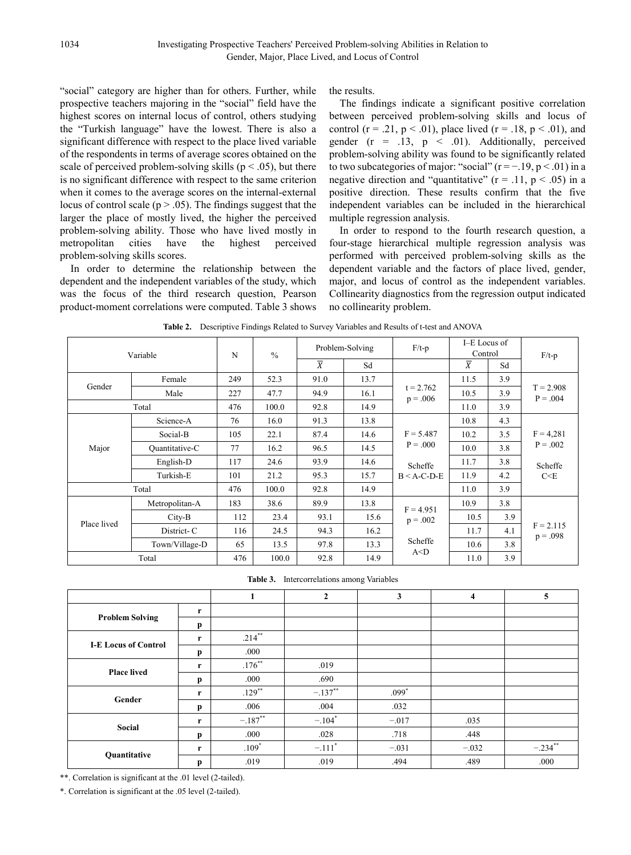"social" category are higher than for others. Further, while prospective teachers majoring in the "social" field have the highest scores on internal locus of control, others studying the "Turkish language" have the lowest. There is also a significant difference with respect to the place lived variable of the respondents in terms of average scores obtained on the scale of perceived problem-solving skills ( $p < .05$ ), but there is no significant difference with respect to the same criterion when it comes to the average scores on the internal-external locus of control scale ( $p > .05$ ). The findings suggest that the larger the place of mostly lived, the higher the perceived problem-solving ability. Those who have lived mostly in metropolitan cities have the highest perceived problem-solving skills scores.

In order to determine the relationship between the dependent and the independent variables of the study, which was the focus of the third research question, Pearson product-moment correlations were computed. Table 3 shows the results.

The findings indicate a significant positive correlation between perceived problem-solving skills and locus of control (r = .21, p < .01), place lived (r = .18, p < .01), and gender  $(r = .13, p < .01)$ . Additionally, perceived problem-solving ability was found to be significantly related to two subcategories of major: "social" ( $r = -19$ ,  $p < 01$ ) in a negative direction and "quantitative" ( $r = .11$ ,  $p < .05$ ) in a positive direction. These results confirm that the five independent variables can be included in the hierarchical multiple regression analysis.

In order to respond to the fourth research question, a four-stage hierarchical multiple regression analysis was performed with perceived problem-solving skills as the dependent variable and the factors of place lived, gender, major, and locus of control as the independent variables. Collinearity diagnostics from the regression output indicated no collinearity problem.

| Variable                 |                | N   | $\frac{0}{0}$ | Problem-Solving |      | $F/t-p$                              | I-E Locus of<br>Control |     | $F/t-p$                                       |
|--------------------------|----------------|-----|---------------|-----------------|------|--------------------------------------|-------------------------|-----|-----------------------------------------------|
|                          |                |     |               | $\overline{X}$  | Sd   |                                      | $\overline{X}$          | Sd  |                                               |
| Female<br>Gender<br>Male |                | 249 | 52.3          | 91.0            | 13.7 | $t = 2.762$<br>$p = .006$            | 11.5                    | 3.9 | $T = 2.908$<br>$P = .004$                     |
|                          |                | 227 | 47.7          | 94.9            | 16.1 |                                      | 10.5                    | 3.9 |                                               |
|                          | Total          | 476 | 100.0         | 92.8            | 14.9 |                                      | 11.0                    | 3.9 |                                               |
|                          | Science-A      | 76  | 16.0          | 91.3            | 13.8 |                                      | 10.8                    | 4.3 | $F = 4,281$<br>$P = .002$<br>Scheffe<br>C < E |
| Major                    | Social-B       | 105 | 22.1          | 87.4            | 14.6 | $F = 5.487$<br>$P = .000$<br>Scheffe | 10.2                    | 3.5 |                                               |
|                          | Quantitative-C | 77  | 16.2          | 96.5            | 14.5 |                                      | 10.0                    | 3.8 |                                               |
|                          | English-D      | 117 | 24.6          | 93.9            | 14.6 |                                      | 11.7                    | 3.8 |                                               |
|                          | Turkish-E      | 101 | 21.2          | 95.3            | 15.7 | $B < A-C-D-E$                        | 11.9                    | 4.2 |                                               |
| Total                    |                | 476 | 100.0         | 92.8            | 14.9 |                                      | 11.0                    | 3.9 |                                               |
|                          | Metropolitan-A | 183 | 38.6          | 89.9            | 13.8 | $F = 4.951$                          | 10.9                    | 3.8 | $F = 2.115$<br>$p = .098$                     |
| Place lived              | $City-B$       | 112 | 23.4          | 93.1            | 15.6 | $p = .002$                           | 10.5                    | 3.9 |                                               |
|                          | District-C     | 116 | 24.5          | 94.3            | 16.2 |                                      | 11.7                    | 4.1 |                                               |
|                          | Town/Village-D | 65  | 13.5          | 97.8            | 13.3 | Scheffe                              | 10.6                    | 3.8 |                                               |
| Total                    |                | 476 | 100.0         | 92.8            | 14.9 | A < D                                | 11.0                    | 3.9 |                                               |

**Table 2.** Descriptive Findings Related to Survey Variables and Results of t-test and ANOVA

**Table 3.** Intercorrelations among Variables

|                             |   | 1         | $\overline{2}$        | $\mathbf{3}$ | $\overline{\mathbf{4}}$ | 5          |
|-----------------------------|---|-----------|-----------------------|--------------|-------------------------|------------|
| <b>Problem Solving</b>      | r |           |                       |              |                         |            |
|                             | p |           |                       |              |                         |            |
| <b>I-E Locus of Control</b> | r | $.214***$ |                       |              |                         |            |
|                             | p | .000      |                       |              |                         |            |
|                             | r | $.176***$ | .019                  |              |                         |            |
| <b>Place lived</b>          | p | .000      | .690                  |              |                         |            |
| Gender                      | r | $.129**$  | $-.137$ <sup>**</sup> | $.099*$      |                         |            |
|                             | p | .006      | .004                  | .032         |                         |            |
| Social                      | r | $-.187**$ | $-.104*$              | $-.017$      | .035                    |            |
|                             | p | .000      | .028                  | .718         | .448                    |            |
| Quantitative                | r | $.109*$   | $-.111$ <sup>*</sup>  | $-.031$      | $-.032$                 | $-.234$ ** |
|                             | p | .019      | .019                  | .494         | .489                    | .000       |

\*\*. Correlation is significant at the .01 level (2-tailed).

\*. Correlation is significant at the .05 level (2-tailed).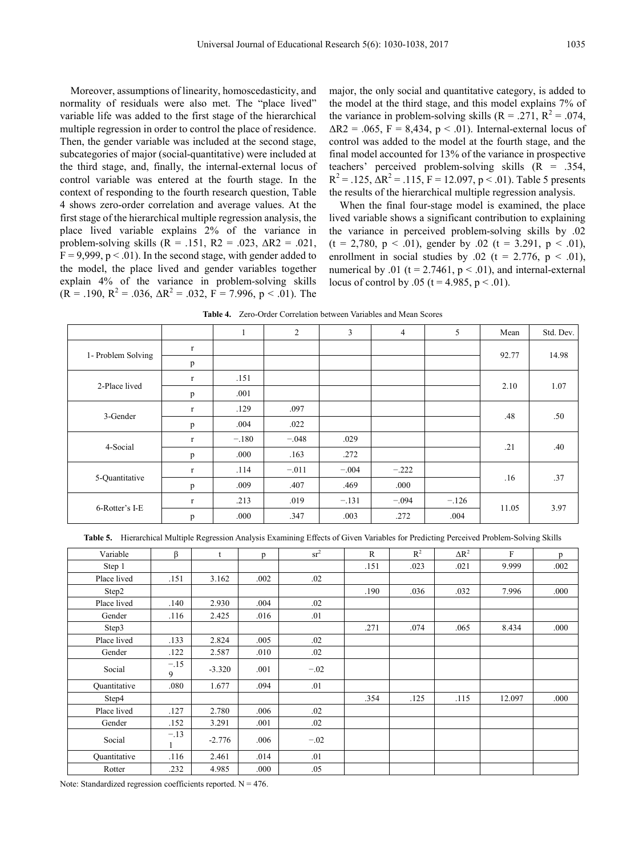Moreover, assumptions of linearity, homoscedasticity, and normality of residuals were also met. The "place lived" variable life was added to the first stage of the hierarchical multiple regression in order to control the place of residence. Then, the gender variable was included at the second stage, subcategories of major (social-quantitative) were included at the third stage, and, finally, the internal-external locus of control variable was entered at the fourth stage. In the context of responding to the fourth research question, Table 4 shows zero-order correlation and average values. At the first stage of the hierarchical multiple regression analysis, the place lived variable explains 2% of the variance in problem-solving skills ( $R = .151$ ,  $R2 = .023$ ,  $\Delta R2 = .021$ ,  $F = 9.999$ ,  $p < .01$ ). In the second stage, with gender added to the model, the place lived and gender variables together explain 4% of the variance in problem-solving skills  $(R = .190, R^2 = .036, \Delta R^2 = .032, F = 7.996, p < .01)$ . The

major, the only social and quantitative category, is added to the model at the third stage, and this model explains 7% of the variance in problem-solving skills  $(R = .271, R^2 = .074,$  $\Delta R2 = .065$ , F = 8,434, p < .01). Internal-external locus of control was added to the model at the fourth stage, and the final model accounted for 13% of the variance in prospective teachers' perceived problem-solving skills  $(R = .354, )$  $R^{2} = .125$ ,  $\Delta R^{2} = .115$ ,  $F = 12.097$ ,  $p < .01$ ). Table 5 presents the results of the hierarchical multiple regression analysis.

When the final four-stage model is examined, the place lived variable shows a significant contribution to explaining the variance in perceived problem-solving skills by .02  $(t = 2,780, p < .01)$ , gender by .02  $(t = 3.291, p < .01)$ , enrollment in social studies by .02 (t = 2.776,  $p < .01$ ), numerical by .01 ( $t = 2.7461$ ,  $p < .01$ ), and internal-external locus of control by .05 (t = 4.985, p < .01).

**Table 4.** Zero-Order Correlation between Variables and Mean Scores

|                    |              |         | $\overline{2}$ | 3       | $\overline{4}$ | 5       | Mean  | Std. Dev. |
|--------------------|--------------|---------|----------------|---------|----------------|---------|-------|-----------|
| 1- Problem Solving | r            |         |                |         |                |         | 92.77 | 14.98     |
|                    | p            |         |                |         |                |         |       |           |
|                    | r            | .151    |                |         |                |         |       | 1.07      |
| 2-Place lived      | p            | .001    |                |         |                |         | 2.10  |           |
|                    | $\mathbf{r}$ | .129    | .097           |         |                |         |       | .50       |
| 3-Gender           | p            | .004    | .022           |         |                |         | .48   |           |
| 4-Social           | $\mathbf{r}$ | $-.180$ | $-.048$        | .029    |                |         |       | .40       |
|                    | p            | .000    | .163           | .272    |                |         | .21   |           |
| 5-Quantitative     | $\Gamma$     | .114    | $-.011$        | $-.004$ | $-.222$        |         |       | .37       |
|                    | p            | .009    | .407           | .469    | .000           |         | .16   |           |
| 6-Rotter's I-E     | r            | .213    | .019           | $-.131$ | $-.094$        | $-.126$ |       | 3.97      |
|                    | p            | .000    | .347           | .003    | .272           | .004    | 11.05 |           |

**Table 5.** Hierarchical Multiple Regression Analysis Examining Effects of Given Variables for Predicting Perceived Problem-Solving Skills

| $\Delta R^2$ | F<br>p         |
|--------------|----------------|
|              |                |
| .021         | 9.999<br>.002  |
|              |                |
| .032         | 7.996<br>.000  |
|              |                |
|              |                |
| .065         | 8.434<br>.000  |
|              |                |
|              |                |
|              |                |
|              |                |
| .115         | 12.097<br>.000 |
|              |                |
|              |                |
|              |                |
|              |                |
|              |                |
|              |                |

Note: Standardized regression coefficients reported.  $N = 476$ .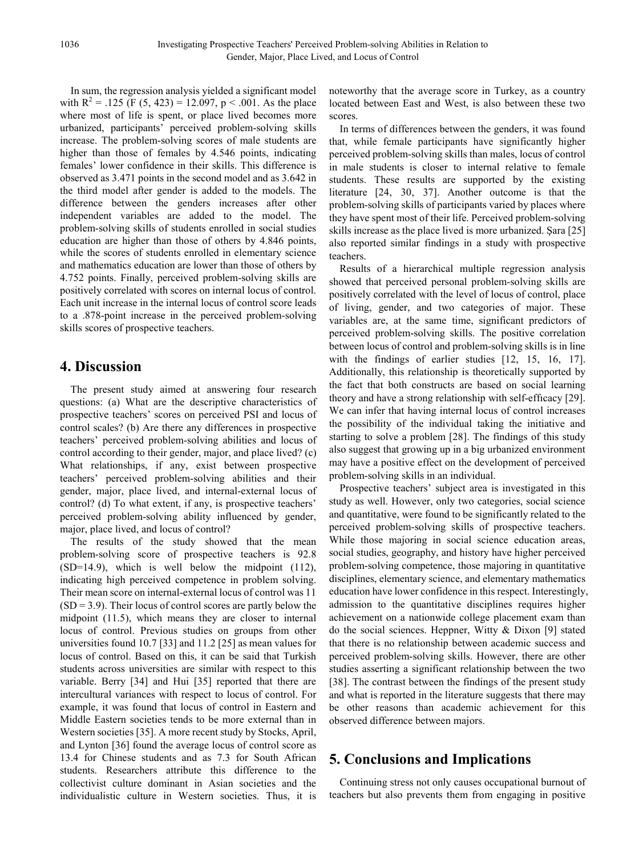In sum, the regression analysis yielded a significant model with  $R^2 = .125$  (F (5, 423) = 12.097, p < .001. As the place where most of life is spent, or place lived becomes more urbanized, participants' perceived problem-solving skills increase. The problem-solving scores of male students are higher than those of females by 4.546 points, indicating females' lower confidence in their skills. This difference is observed as 3.471 points in the second model and as 3.642 in the third model after gender is added to the models. The difference between the genders increases after other independent variables are added to the model. The problem-solving skills of students enrolled in social studies education are higher than those of others by 4.846 points, while the scores of students enrolled in elementary science and mathematics education are lower than those of others by 4.752 points. Finally, perceived problem-solving skills are positively correlated with scores on internal locus of control. Each unit increase in the internal locus of control score leads to a .878-point increase in the perceived problem-solving skills scores of prospective teachers.

## **4. Discussion**

The present study aimed at answering four research questions: (a) What are the descriptive characteristics of prospective teachers' scores on perceived PSI and locus of control scales? (b) Are there any differences in prospective teachers' perceived problem-solving abilities and locus of control according to their gender, major, and place lived? (c) What relationships, if any, exist between prospective teachers' perceived problem-solving abilities and their gender, major, place lived, and internal-external locus of control? (d) To what extent, if any, is prospective teachers' perceived problem-solving ability influenced by gender, major, place lived, and locus of control?

The results of the study showed that the mean problem-solving score of prospective teachers is 92.8 (SD=14.9), which is well below the midpoint (112), indicating high perceived competence in problem solving. Their mean score on internal-external locus of control was 11  $(SD = 3.9)$ . Their locus of control scores are partly below the midpoint (11.5), which means they are closer to internal locus of control. Previous studies on groups from other universities found 10.7 [33] and 11.2 [25] as mean values for locus of control. Based on this, it can be said that Turkish students across universities are similar with respect to this variable. Berry [34] and Hui [35] reported that there are intercultural variances with respect to locus of control. For example, it was found that locus of control in Eastern and Middle Eastern societies tends to be more external than in Western societies [35]. A more recent study by Stocks, April, and Lynton [36] found the average locus of control score as 13.4 for Chinese students and as 7.3 for South African students. Researchers attribute this difference to the collectivist culture dominant in Asian societies and the individualistic culture in Western societies. Thus, it is

noteworthy that the average score in Turkey, as a country located between East and West, is also between these two scores.

In terms of differences between the genders, it was found that, while female participants have significantly higher perceived problem-solving skills than males, locus of control in male students is closer to internal relative to female students. These results are supported by the existing literature [24, 30, 37]. Another outcome is that the problem-solving skills of participants varied by places where they have spent most of their life. Perceived problem-solving skills increase as the place lived is more urbanized. Şara [25] also reported similar findings in a study with prospective teachers.

Results of a hierarchical multiple regression analysis showed that perceived personal problem-solving skills are positively correlated with the level of locus of control, place of living, gender, and two categories of major. These variables are, at the same time, significant predictors of perceived problem-solving skills. The positive correlation between locus of control and problem-solving skills is in line with the findings of earlier studies [12, 15, 16, 17]. Additionally, this relationship is theoretically supported by the fact that both constructs are based on social learning theory and have a strong relationship with self-effıcacy [29]. We can infer that having internal locus of control increases the possibility of the individual taking the initiative and starting to solve a problem [28]. The findings of this study also suggest that growing up in a big urbanized environment may have a positive effect on the development of perceived problem-solving skills in an individual.

Prospective teachers' subject area is investigated in this study as well. However, only two categories, social science and quantitative, were found to be significantly related to the perceived problem-solving skills of prospective teachers. While those majoring in social science education areas, social studies, geography, and history have higher perceived problem-solving competence, those majoring in quantitative disciplines, elementary science, and elementary mathematics education have lower confidence in this respect. Interestingly, admission to the quantitative disciplines requires higher achievement on a nationwide college placement exam than do the social sciences. Heppner, Witty & Dixon [9] stated that there is no relationship between academic success and perceived problem-solving skills. However, there are other studies asserting a significant relationship between the two [38]. The contrast between the findings of the present study and what is reported in the literature suggests that there may be other reasons than academic achievement for this observed difference between majors.

# **5. Conclusions and Implications**

Continuing stress not only causes occupational burnout of teachers but also prevents them from engaging in positive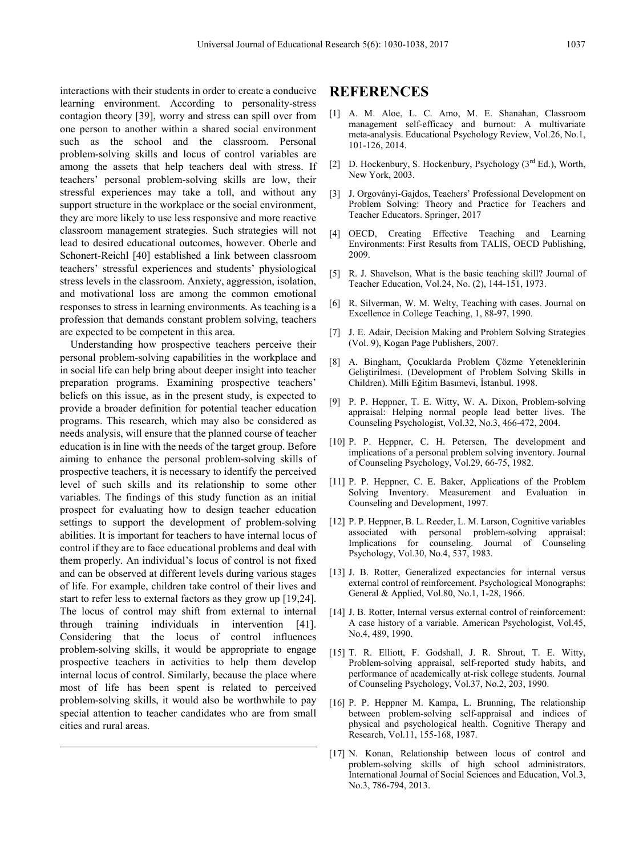interactions with their students in order to create a conducive learning environment. According to personality-stress contagion theory [39], worry and stress can spill over from one person to another within a shared social environment such as the school and the classroom. Personal problem-solving skills and locus of control variables are among the assets that help teachers deal with stress. If teachers' personal problem-solving skills are low, their stressful experiences may take a toll, and without any support structure in the workplace or the social environment, they are more likely to use less responsive and more reactive classroom management strategies. Such strategies will not lead to desired educational outcomes, however. Oberle and Schonert-Reichl [40] established a link between classroom teachers' stressful experiences and students' physiological stress levels in the classroom. Anxiety, aggression, isolation, and motivational loss are among the common emotional responses to stress in learning environments. As teaching is a profession that demands constant problem solving, teachers are expected to be competent in this area.

Understanding how prospective teachers perceive their personal problem-solving capabilities in the workplace and in social life can help bring about deeper insight into teacher preparation programs. Examining prospective teachers' beliefs on this issue, as in the present study, is expected to provide a broader definition for potential teacher education programs. This research, which may also be considered as needs analysis, will ensure that the planned course of teacher education is in line with the needs of the target group. Before aiming to enhance the personal problem-solving skills of prospective teachers, it is necessary to identify the perceived level of such skills and its relationship to some other variables. The findings of this study function as an initial prospect for evaluating how to design teacher education settings to support the development of problem-solving abilities. It is important for teachers to have internal locus of control if they are to face educational problems and deal with them properly. An individual's locus of control is not fixed and can be observed at different levels during various stages of life. For example, children take control of their lives and start to refer less to external factors as they grow up [19,24]. The locus of control may shift from external to internal through training individuals in intervention [41]. Considering that the locus of control influences problem-solving skills, it would be appropriate to engage prospective teachers in activities to help them develop internal locus of control. Similarly, because the place where most of life has been spent is related to perceived problem-solving skills, it would also be worthwhile to pay special attention to teacher candidates who are from small cities and rural areas.

## **REFERENCES**

- [1] A. M. Aloe, L. C. Amo, M. E. Shanahan, Classroom management self-efficacy and burnout: A multivariate meta-analysis. Educational Psychology Review, Vol.26, No.1, 101-126, 2014.
- [2] D. Hockenbury, S. Hockenbury, Psychology  $(3<sup>rd</sup> Ed.)$ , Worth, New York, 2003.
- [3] J. Orgoványi-Gajdos, Teachers' Professional Development on Problem Solving: Theory and Practice for Teachers and Teacher Educators. Springer, 2017
- [4] OECD, Creating Effective Teaching and Learning Environments: First Results from TALIS, OECD Publishing, 2009.
- [5] R. J. Shavelson, What is the basic teaching skill? Journal of Teacher Education, Vol.24, No. (2), 144-151, 1973.
- [6] R. Silverman, W. M. Welty, Teaching with cases. Journal on Excellence in College Teaching, 1, 88-97, 1990.
- [7] J. E. Adair, Decision Making and Problem Solving Strategies (Vol. 9), Kogan Page Publishers, 2007.
- [8] A. Bingham, Çocuklarda Problem Çözme Yeteneklerinin Geliştirilmesi. (Development of Problem Solving Skills in Children). Milli Eğitim Basımevi, İstanbul. 1998.
- [9] P. P. Heppner, T. E. Witty, W. A. Dixon, Problem-solving appraisal: Helping normal people lead better lives. The Counseling Psychologist, Vol.32, No.3, 466-472, 2004.
- [10] P. P. Heppner, C. H. Petersen, The development and implications of a personal problem solving inventory. Journal of Counseling Psychology, Vol.29, 66-75, 1982.
- [11] P. P. Heppner, C. E. Baker, Applications of the Problem Solving Inventory. Measurement and Evaluation in Counseling and Development, 1997.
- [12] P. P. Heppner, B. L. Reeder, L. M. Larson, Cognitive variables associated with personal problem-solving appraisal: Implications for counseling. Journal of Counseling Psychology, Vol.30, No.4, 537, 1983.
- [13] J. B. Rotter, Generalized expectancies for internal versus external control of reinforcement. Psychological Monographs: General & Applied, Vol.80, No.1, 1-28, 1966.
- [14] J. B. Rotter, Internal versus external control of reinforcement: A case history of a variable. American Psychologist, Vol.45, No.4, 489, 1990.
- [15] T. R. Elliott, F. Godshall, J. R. Shrout, T. E. Witty, Problem-solving appraisal, self-reported study habits, and performance of academically at-risk college students. Journal of Counseling Psychology, Vol.37, No.2, 203, 1990.
- [16] P. P. Heppner M. Kampa, L. Brunning, The relationship between problem-solving self-appraisal and indices of physical and psychological health. Cognitive Therapy and Research, Vol.11, 155-168, 1987.
- [17] N. Konan, Relationship between locus of control and problem-solving skills of high school administrators. International Journal of Social Sciences and Education, Vol.3, No.3, 786-794, 2013.